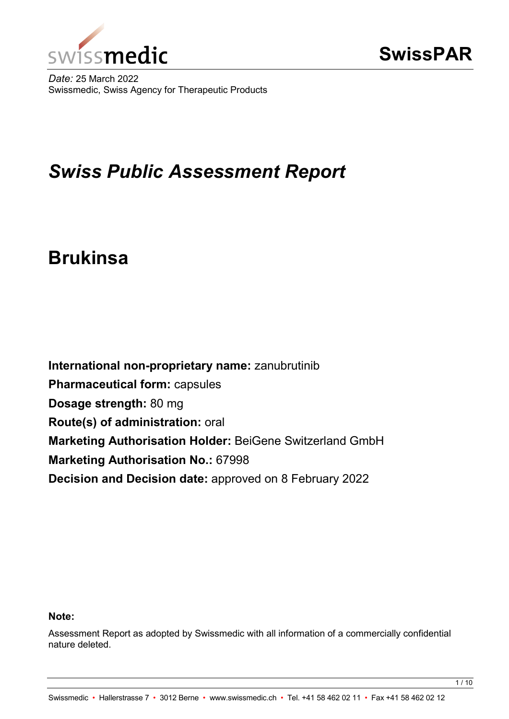

*Date:* 25 March 2022 Swissmedic, Swiss Agency for Therapeutic Products

# *Swiss Public Assessment Report*

# **Brukinsa**

**International non-proprietary name:** zanubrutinib **Pharmaceutical form:** capsules **Dosage strength:** 80 mg **Route(s) of administration:** oral **Marketing Authorisation Holder:** BeiGene Switzerland GmbH **Marketing Authorisation No.:** 67998 **Decision and Decision date:** approved on 8 February 2022

#### **Note:**

Assessment Report as adopted by Swissmedic with all information of a commercially confidential nature deleted.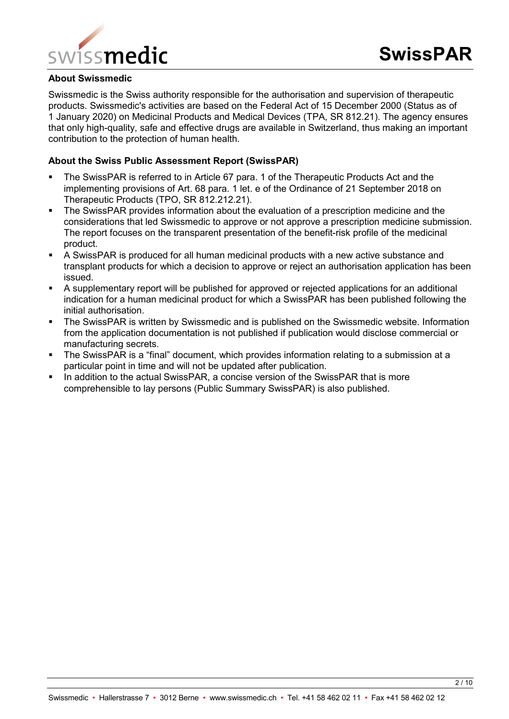

#### **About Swissmedic**

Swissmedic is the Swiss authority responsible for the authorisation and supervision of therapeutic products. Swissmedic's activities are based on the Federal Act of 15 December 2000 (Status as of 1 January 2020) on Medicinal Products and Medical Devices (TPA, SR 812.21). The agency ensures that only high-quality, safe and effective drugs are available in Switzerland, thus making an important contribution to the protection of human health.

#### **About the Swiss Public Assessment Report (SwissPAR)**

- The SwissPAR is referred to in Article 67 para. 1 of the Therapeutic Products Act and the implementing provisions of Art. 68 para. 1 let. e of the Ordinance of 21 September 2018 on Therapeutic Products (TPO, SR 812.212.21).
- The SwissPAR provides information about the evaluation of a prescription medicine and the considerations that led Swissmedic to approve or not approve a prescription medicine submission. The report focuses on the transparent presentation of the benefit-risk profile of the medicinal product.
- A SwissPAR is produced for all human medicinal products with a new active substance and transplant products for which a decision to approve or reject an authorisation application has been issued.
- A supplementary report will be published for approved or rejected applications for an additional indication for a human medicinal product for which a SwissPAR has been published following the initial authorisation.
- **The SwissPAR is written by Swissmedic and is published on the Swissmedic website. Information** from the application documentation is not published if publication would disclose commercial or manufacturing secrets.
- The SwissPAR is a "final" document, which provides information relating to a submission at a particular point in time and will not be updated after publication.
- In addition to the actual SwissPAR, a concise version of the SwissPAR that is more comprehensible to lay persons (Public Summary SwissPAR) is also published.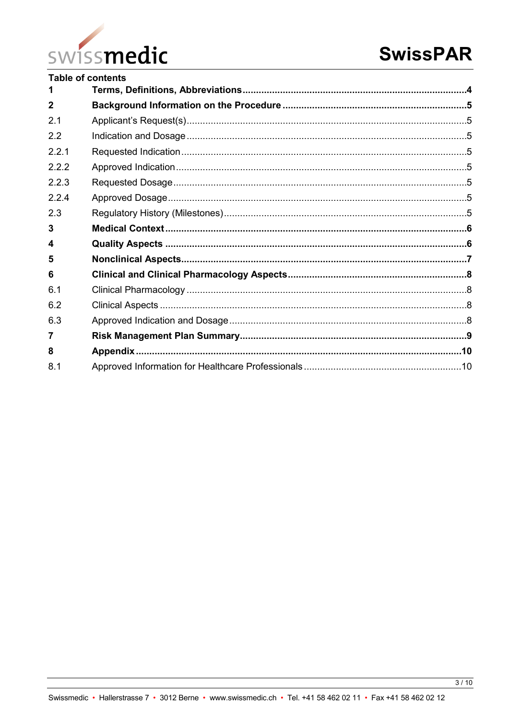

|              | <b>Table of contents</b> |  |
|--------------|--------------------------|--|
|              |                          |  |
| $\mathbf{2}$ |                          |  |
| 2.1          |                          |  |
| 2.2          |                          |  |
| 221          |                          |  |
| 2.2.2        |                          |  |
| 2.2.3        |                          |  |
| 2.2.4        |                          |  |
| 2.3          |                          |  |
| 3            |                          |  |
| 4            |                          |  |
| 5            |                          |  |
| 6            |                          |  |
| 6.1          |                          |  |
| 6.2          |                          |  |
| 6.3          |                          |  |
| 7            |                          |  |
| 8            |                          |  |
| 8.1          |                          |  |
|              |                          |  |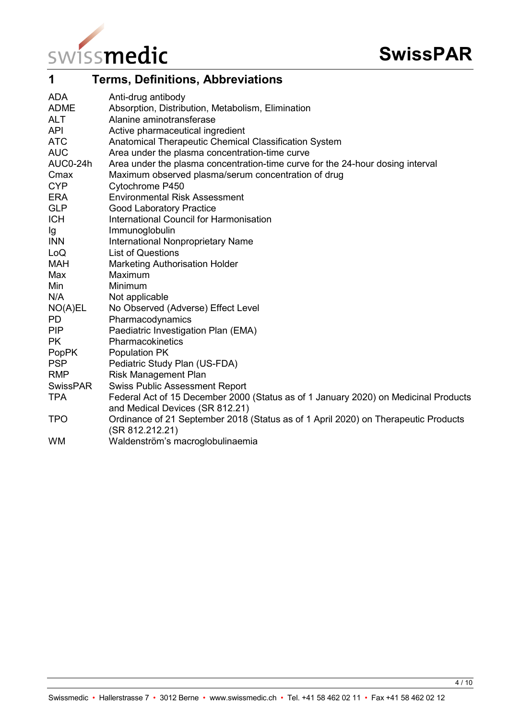

<span id="page-3-0"></span>

| 1               | <b>Terms, Definitions, Abbreviations</b>                                            |
|-----------------|-------------------------------------------------------------------------------------|
| <b>ADA</b>      | Anti-drug antibody                                                                  |
| <b>ADME</b>     | Absorption, Distribution, Metabolism, Elimination                                   |
| <b>ALT</b>      | Alanine aminotransferase                                                            |
| <b>API</b>      | Active pharmaceutical ingredient                                                    |
| <b>ATC</b>      | Anatomical Therapeutic Chemical Classification System                               |
| <b>AUC</b>      | Area under the plasma concentration-time curve                                      |
| AUC0-24h        | Area under the plasma concentration-time curve for the 24-hour dosing interval      |
| Cmax            | Maximum observed plasma/serum concentration of drug                                 |
| <b>CYP</b>      | Cytochrome P450                                                                     |
| <b>ERA</b>      | <b>Environmental Risk Assessment</b>                                                |
| <b>GLP</b>      | <b>Good Laboratory Practice</b>                                                     |
| <b>ICH</b>      | International Council for Harmonisation                                             |
| Ig              | Immunoglobulin                                                                      |
| <b>INN</b>      | International Nonproprietary Name                                                   |
| LoQ             | <b>List of Questions</b>                                                            |
| <b>MAH</b>      | <b>Marketing Authorisation Holder</b>                                               |
| Max             | Maximum                                                                             |
| Min             | Minimum                                                                             |
| N/A             | Not applicable                                                                      |
| NO(A)EL         | No Observed (Adverse) Effect Level                                                  |
| <b>PD</b>       | Pharmacodynamics                                                                    |
| <b>PIP</b>      | Paediatric Investigation Plan (EMA)                                                 |
| <b>PK</b>       | Pharmacokinetics                                                                    |
| <b>PopPK</b>    | Population PK                                                                       |
| <b>PSP</b>      | Pediatric Study Plan (US-FDA)                                                       |
| <b>RMP</b>      | <b>Risk Management Plan</b>                                                         |
| <b>SwissPAR</b> | <b>Swiss Public Assessment Report</b>                                               |
| <b>TPA</b>      | Federal Act of 15 December 2000 (Status as of 1 January 2020) on Medicinal Products |
|                 | and Medical Devices (SR 812.21)                                                     |
| <b>TPO</b>      | Ordinance of 21 September 2018 (Status as of 1 April 2020) on Therapeutic Products  |
|                 | (SR 812.212.21)                                                                     |
| <b>WM</b>       | Waldenström's macroglobulinaemia                                                    |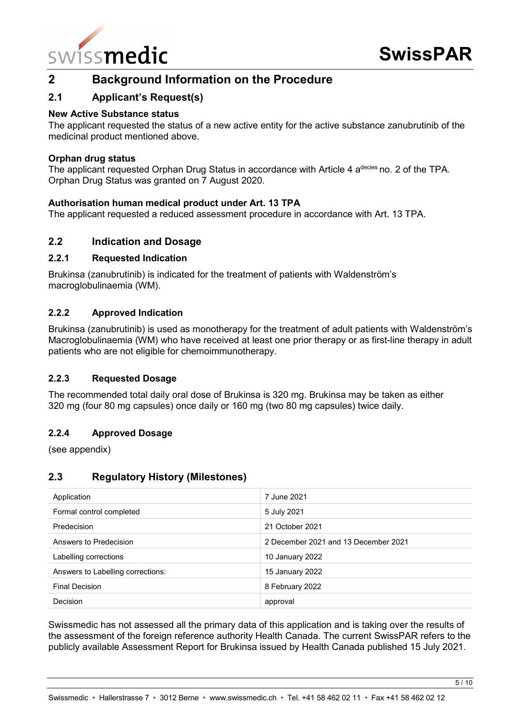

# <span id="page-4-0"></span>**2 Background Information on the Procedure**

## <span id="page-4-1"></span>**2.1 Applicant's Request(s)**

#### **New Active Substance status**

The applicant requested the status of a new active entity for the active substance zanubrutinib of the medicinal product mentioned above.

#### **Orphan drug status**

The applicant requested Orphan Drug Status in accordance with Article 4 a<sup>decies</sup> no. 2 of the TPA. Orphan Drug Status was granted on 7 August 2020.

#### **Authorisation human medical product under Art. 13 TPA**

The applicant requested a reduced assessment procedure in accordance with Art. 13 TPA.

## <span id="page-4-2"></span>**2.2 Indication and Dosage**

#### <span id="page-4-3"></span>**2.2.1 Requested Indication**

Brukinsa (zanubrutinib) is indicated for the treatment of patients with Waldenström's macroglobulinaemia (WM).

#### <span id="page-4-4"></span>**2.2.2 Approved Indication**

Brukinsa (zanubrutinib) is used as monotherapy for the treatment of adult patients with Waldenström's Macroglobulinaemia (WM) who have received at least one prior therapy or as first-line therapy in adult patients who are not eligible for chemoimmunotherapy.

#### <span id="page-4-5"></span>**2.2.3 Requested Dosage**

The recommended total daily oral dose of Brukinsa is 320 mg. Brukinsa may be taken as either 320 mg (four 80 mg capsules) once daily or 160 mg (two 80 mg capsules) twice daily.

#### <span id="page-4-6"></span>**2.2.4 Approved Dosage**

(see appendix)

#### <span id="page-4-7"></span>**2.3 Regulatory History (Milestones)**

| Application                       | 7 June 2021                          |  |  |
|-----------------------------------|--------------------------------------|--|--|
| Formal control completed          | 5 July 2021                          |  |  |
| Predecision                       | 21 October 2021                      |  |  |
| Answers to Predecision            | 2 December 2021 and 13 December 2021 |  |  |
| Labelling corrections             | 10 January 2022                      |  |  |
| Answers to Labelling corrections: | 15 January 2022                      |  |  |
| Final Decision                    | 8 February 2022                      |  |  |
| <b>Decision</b>                   | approval                             |  |  |

Swissmedic has not assessed all the primary data of this application and is taking over the results of the assessment of the foreign reference authority Health Canada. The current SwissPAR refers to the publicly available Assessment Report for Brukinsa issued by Health Canada published 15 July 2021.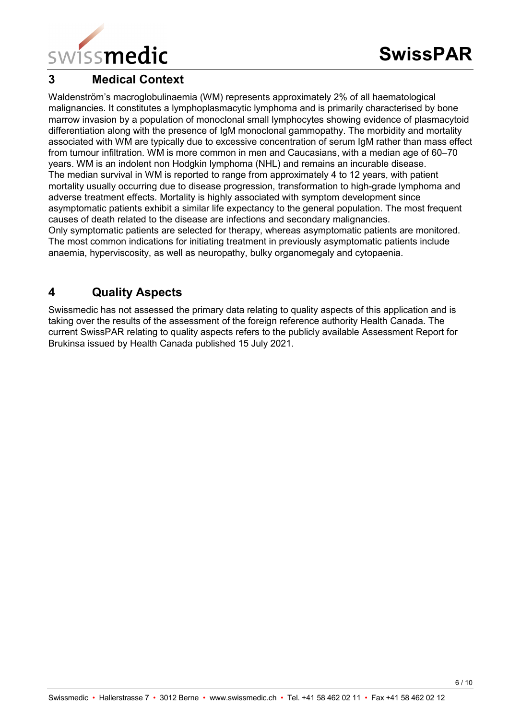

# <span id="page-5-0"></span>**3 Medical Context**

Waldenström's macroglobulinaemia (WM) represents approximately 2% of all haematological malignancies. It constitutes a lymphoplasmacytic lymphoma and is primarily characterised by bone marrow invasion by a population of monoclonal small lymphocytes showing evidence of plasmacytoid differentiation along with the presence of IgM monoclonal gammopathy. The morbidity and mortality associated with WM are typically due to excessive concentration of serum IgM rather than mass effect from tumour infiltration. WM is more common in men and Caucasians, with a median age of 60–70 years. WM is an indolent non Hodgkin lymphoma (NHL) and remains an incurable disease. The median survival in WM is reported to range from approximately 4 to 12 years, with patient mortality usually occurring due to disease progression, transformation to high-grade lymphoma and adverse treatment effects. Mortality is highly associated with symptom development since asymptomatic patients exhibit a similar life expectancy to the general population. The most frequent causes of death related to the disease are infections and secondary malignancies. Only symptomatic patients are selected for therapy, whereas asymptomatic patients are monitored. The most common indications for initiating treatment in previously asymptomatic patients include anaemia, hyperviscosity, as well as neuropathy, bulky organomegaly and cytopaenia.

# <span id="page-5-1"></span>**4 Quality Aspects**

Swissmedic has not assessed the primary data relating to quality aspects of this application and is taking over the results of the assessment of the foreign reference authority Health Canada. The current SwissPAR relating to quality aspects refers to the publicly available Assessment Report for Brukinsa issued by Health Canada published 15 July 2021.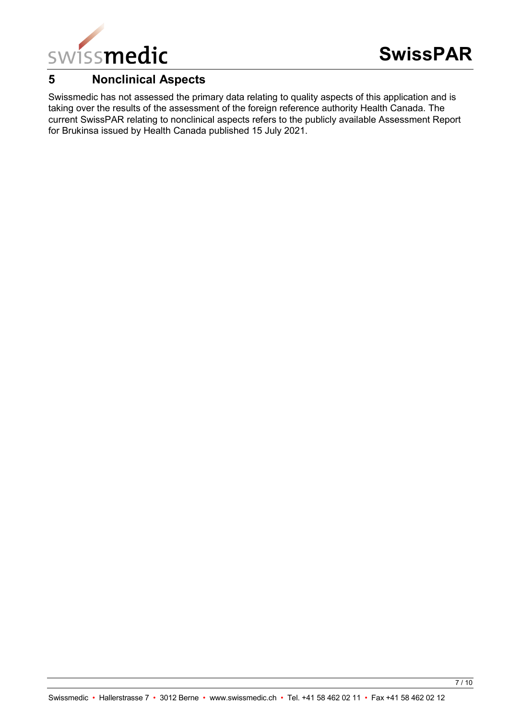

# <span id="page-6-0"></span>**5 Nonclinical Aspects**

Swissmedic has not assessed the primary data relating to quality aspects of this application and is taking over the results of the assessment of the foreign reference authority Health Canada. The current SwissPAR relating to nonclinical aspects refers to the publicly available Assessment Report for Brukinsa issued by Health Canada published 15 July 2021.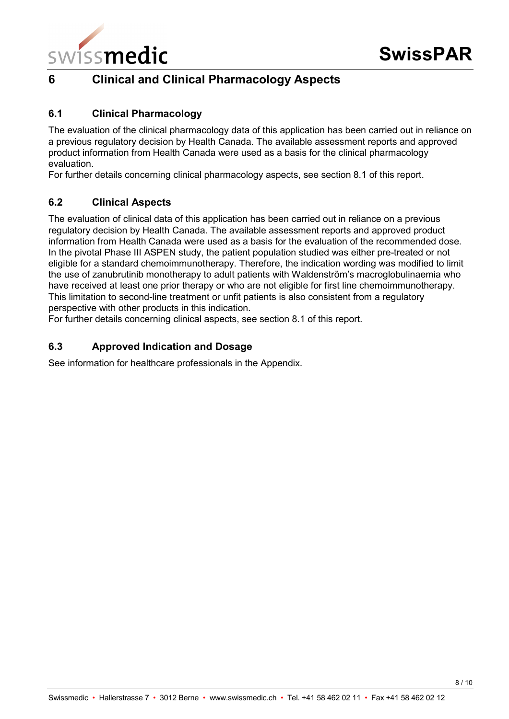

# <span id="page-7-0"></span>**6 Clinical and Clinical Pharmacology Aspects**

## <span id="page-7-1"></span>**6.1 Clinical Pharmacology**

The evaluation of the clinical pharmacology data of this application has been carried out in reliance on a previous regulatory decision by Health Canada. The available assessment reports and approved product information from Health Canada were used as a basis for the clinical pharmacology evaluation.

For further details concerning clinical pharmacology aspects, see section 8.1 of this report.

## <span id="page-7-2"></span>**6.2 Clinical Aspects**

The evaluation of clinical data of this application has been carried out in reliance on a previous regulatory decision by Health Canada. The available assessment reports and approved product information from Health Canada were used as a basis for the evaluation of the recommended dose. In the pivotal Phase III ASPEN study, the patient population studied was either pre-treated or not eligible for a standard chemoimmunotherapy. Therefore, the indication wording was modified to limit the use of zanubrutinib monotherapy to adult patients with Waldenström's macroglobulinaemia who have received at least one prior therapy or who are not eligible for first line chemoimmunotherapy. This limitation to second-line treatment or unfit patients is also consistent from a regulatory perspective with other products in this indication.

For further details concerning clinical aspects, see section 8.1 of this report.

## <span id="page-7-3"></span>**6.3 Approved Indication and Dosage**

See information for healthcare professionals in the Appendix.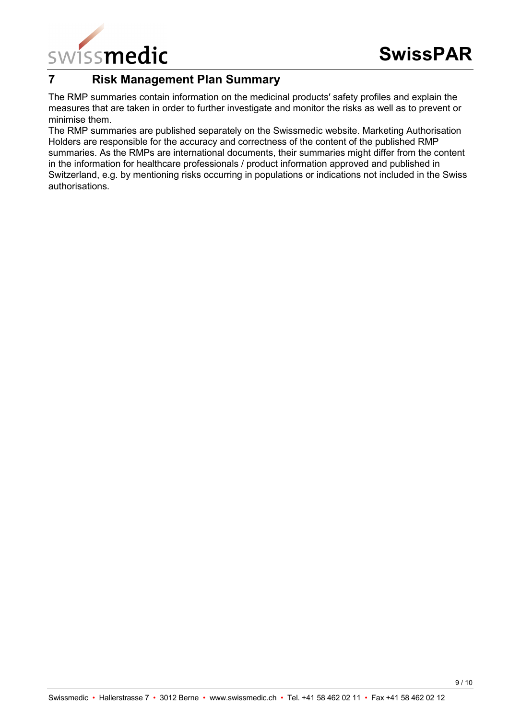

# <span id="page-8-0"></span>**7 Risk Management Plan Summary**

The RMP summaries contain information on the medicinal products′ safety profiles and explain the measures that are taken in order to further investigate and monitor the risks as well as to prevent or minimise them.

The RMP summaries are published separately on the Swissmedic website. Marketing Authorisation Holders are responsible for the accuracy and correctness of the content of the published RMP summaries. As the RMPs are international documents, their summaries might differ from the content in the information for healthcare professionals / product information approved and published in Switzerland, e.g. by mentioning risks occurring in populations or indications not included in the Swiss authorisations.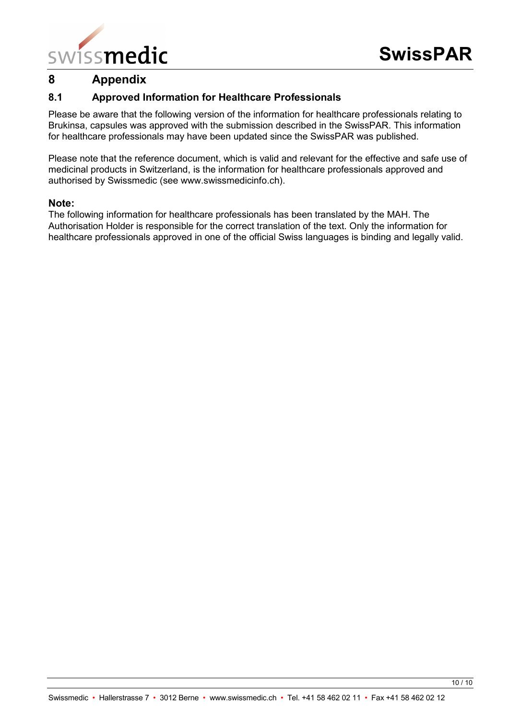

# <span id="page-9-0"></span>**8 Appendix**

## <span id="page-9-1"></span>**8.1 Approved Information for Healthcare Professionals**

Please be aware that the following version of the information for healthcare professionals relating to Brukinsa, capsules was approved with the submission described in the SwissPAR. This information for healthcare professionals may have been updated since the SwissPAR was published.

Please note that the reference document, which is valid and relevant for the effective and safe use of medicinal products in Switzerland, is the information for healthcare professionals approved and authorised by Swissmedic (see www.swissmedicinfo.ch).

#### **Note:**

The following information for healthcare professionals has been translated by the MAH. The Authorisation Holder is responsible for the correct translation of the text. Only the information for healthcare professionals approved in one of the official Swiss languages is binding and legally valid.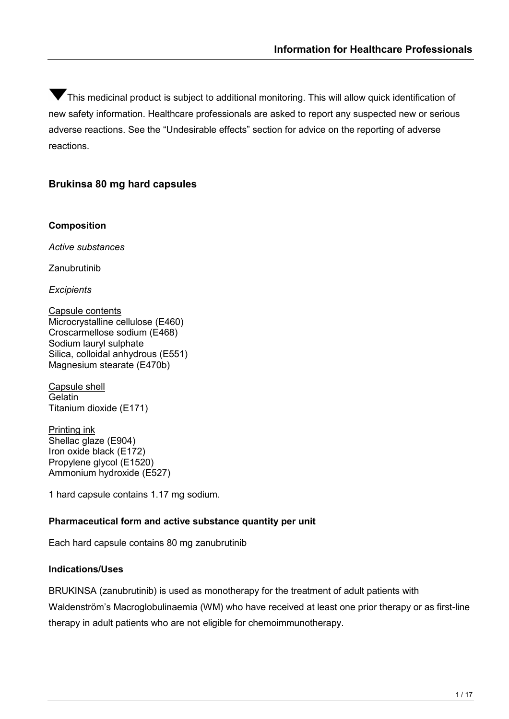$\blacktriangledown$ This medicinal product is subject to additional monitoring. This will allow quick identification of new safety information. Healthcare professionals are asked to report any suspected new or serious adverse reactions. See the "Undesirable effects" section for advice on the reporting of adverse reactions.

## **Brukinsa 80 mg hard capsules**

#### **Composition**

*Active substances*

Zanubrutinib

*Excipients*

Capsule contents Microcrystalline cellulose (E460) Croscarmellose sodium (E468) Sodium lauryl sulphate Silica, colloidal anhydrous (E551) Magnesium stearate (E470b)

Capsule shell **Gelatin** Titanium dioxide (E171)

Printing ink Shellac glaze (E904) Iron oxide black (E172) Propylene glycol (E1520) Ammonium hydroxide (E527)

1 hard capsule contains 1.17 mg sodium.

#### **Pharmaceutical form and active substance quantity per unit**

Each hard capsule contains 80 mg zanubrutinib

#### **Indications/Uses**

BRUKINSA (zanubrutinib) is used as monotherapy for the treatment of adult patients with Waldenström's Macroglobulinaemia (WM) who have received at least one prior therapy or as first-line therapy in adult patients who are not eligible for chemoimmunotherapy.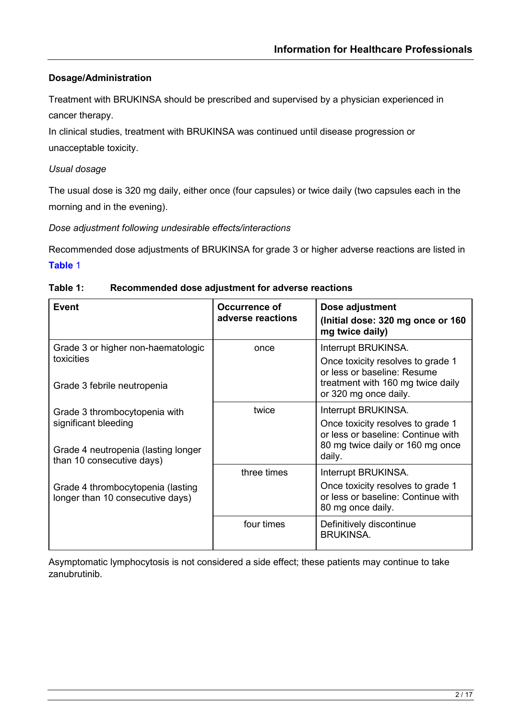# **Dosage/Administration**

Treatment with BRUKINSA should be prescribed and supervised by a physician experienced in cancer therapy.

In clinical studies, treatment with BRUKINSA was continued until disease progression or unacceptable toxicity.

# *Usual dosage*

The usual dose is 320 mg daily, either once (four capsules) or twice daily (two capsules each in the morning and in the evening).

*Dose adjustment following undesirable effects/interactions*

Recommended dose adjustments of BRUKINSA for grade 3 or higher adverse reactions are listed in **[Table](#page-11-0)** 1

| Event                                                                                                                     | Occurrence of<br>adverse reactions | Dose adjustment<br>(Initial dose: 320 mg once or 160<br>mg twice daily)                                                                               |
|---------------------------------------------------------------------------------------------------------------------------|------------------------------------|-------------------------------------------------------------------------------------------------------------------------------------------------------|
| Grade 3 or higher non-haematologic<br>toxicities<br>Grade 3 febrile neutropenia                                           | once                               | Interrupt BRUKINSA.<br>Once toxicity resolves to grade 1<br>or less or baseline: Resume<br>treatment with 160 mg twice daily<br>or 320 mg once daily. |
| Grade 3 thrombocytopenia with<br>significant bleeding<br>Grade 4 neutropenia (lasting longer<br>than 10 consecutive days) | twice                              | Interrupt BRUKINSA.<br>Once toxicity resolves to grade 1<br>or less or baseline: Continue with<br>80 mg twice daily or 160 mg once<br>daily.          |
| Grade 4 thrombocytopenia (lasting<br>longer than 10 consecutive days)                                                     | three times                        | Interrupt BRUKINSA.<br>Once toxicity resolves to grade 1<br>or less or baseline: Continue with<br>80 mg once daily.                                   |
|                                                                                                                           | four times                         | Definitively discontinue<br><b>BRUKINSA.</b>                                                                                                          |

#### <span id="page-11-0"></span>**Table 1: Recommended dose adjustment for adverse reactions**

Asymptomatic lymphocytosis is not considered a side effect; these patients may continue to take zanubrutinib.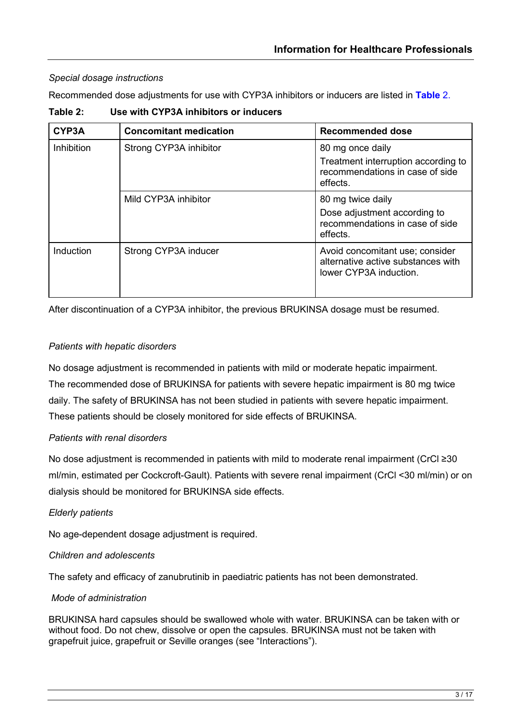## *Special dosage instructions*

Recommended dose adjustments for use with CYP3A inhibitors or inducers are listed in **[Table](#page-12-0)** 2.

<span id="page-12-0"></span>

| Table 2: | Use with CYP3A inhibitors or inducers |
|----------|---------------------------------------|
|----------|---------------------------------------|

| CYP3A      | <b>Concomitant medication</b> | <b>Recommended dose</b>                                                                                |  |
|------------|-------------------------------|--------------------------------------------------------------------------------------------------------|--|
| Inhibition | Strong CYP3A inhibitor        | 80 mg once daily<br>Treatment interruption according to<br>recommendations in case of side<br>effects. |  |
|            | Mild CYP3A inhibitor          | 80 mg twice daily<br>Dose adjustment according to<br>recommendations in case of side<br>effects.       |  |
| Induction  | Strong CYP3A inducer          | Avoid concomitant use; consider<br>alternative active substances with<br>lower CYP3A induction.        |  |

After discontinuation of a CYP3A inhibitor, the previous BRUKINSA dosage must be resumed.

## *Patients with hepatic disorders*

No dosage adjustment is recommended in patients with mild or moderate hepatic impairment. The recommended dose of BRUKINSA for patients with severe hepatic impairment is 80 mg twice daily. The safety of BRUKINSA has not been studied in patients with severe hepatic impairment. These patients should be closely monitored for side effects of BRUKINSA.

#### *Patients with renal disorders*

No dose adjustment is recommended in patients with mild to moderate renal impairment (CrCl ≥30 ml/min, estimated per Cockcroft-Gault). Patients with severe renal impairment (CrCl <30 ml/min) or on dialysis should be monitored for BRUKINSA side effects.

#### *Elderly patients*

No age-dependent dosage adjustment is required.

#### *Children and adolescents*

The safety and efficacy of zanubrutinib in paediatric patients has not been demonstrated.

#### *Mode of administration*

BRUKINSA hard capsules should be swallowed whole with water. BRUKINSA can be taken with or without food. Do not chew, dissolve or open the capsules. BRUKINSA must not be taken with grapefruit juice, grapefruit or Seville oranges (see "Interactions").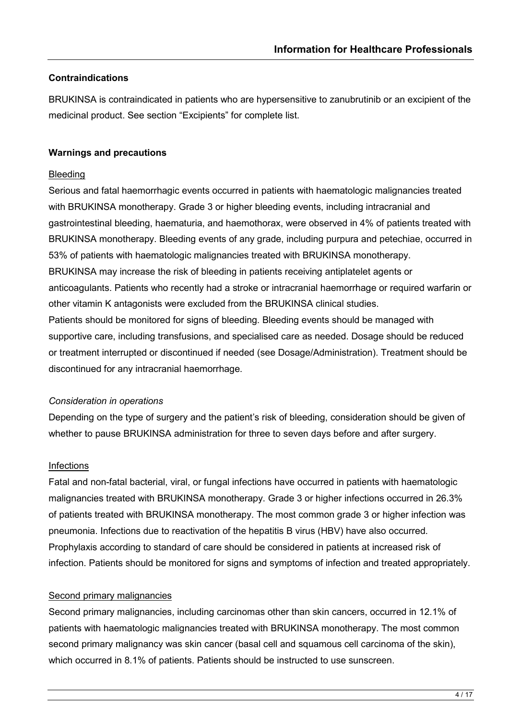#### **Contraindications**

BRUKINSA is contraindicated in patients who are hypersensitive to zanubrutinib or an excipient of the medicinal product. See section "Excipients" for complete list.

#### **Warnings and precautions**

#### **Bleeding**

Serious and fatal haemorrhagic events occurred in patients with haematologic malignancies treated with BRUKINSA monotherapy. Grade 3 or higher bleeding events, including intracranial and gastrointestinal bleeding, haematuria, and haemothorax, were observed in 4% of patients treated with BRUKINSA monotherapy. Bleeding events of any grade, including purpura and petechiae, occurred in 53% of patients with haematologic malignancies treated with BRUKINSA monotherapy. BRUKINSA may increase the risk of bleeding in patients receiving antiplatelet agents or anticoagulants. Patients who recently had a stroke or intracranial haemorrhage or required warfarin or other vitamin K antagonists were excluded from the BRUKINSA clinical studies. Patients should be monitored for signs of bleeding. Bleeding events should be managed with supportive care, including transfusions, and specialised care as needed. Dosage should be reduced or treatment interrupted or discontinued if needed (see Dosage/Administration). Treatment should be discontinued for any intracranial haemorrhage.

#### *Consideration in operations*

Depending on the type of surgery and the patient's risk of bleeding, consideration should be given of whether to pause BRUKINSA administration for three to seven days before and after surgery.

#### Infections

Fatal and non-fatal bacterial, viral, or fungal infections have occurred in patients with haematologic malignancies treated with BRUKINSA monotherapy. Grade 3 or higher infections occurred in 26.3% of patients treated with BRUKINSA monotherapy. The most common grade 3 or higher infection was pneumonia. Infections due to reactivation of the hepatitis B virus (HBV) have also occurred. Prophylaxis according to standard of care should be considered in patients at increased risk of infection. Patients should be monitored for signs and symptoms of infection and treated appropriately.

#### Second primary malignancies

Second primary malignancies, including carcinomas other than skin cancers, occurred in 12.1% of patients with haematologic malignancies treated with BRUKINSA monotherapy. The most common second primary malignancy was skin cancer (basal cell and squamous cell carcinoma of the skin), which occurred in 8.1% of patients. Patients should be instructed to use sunscreen.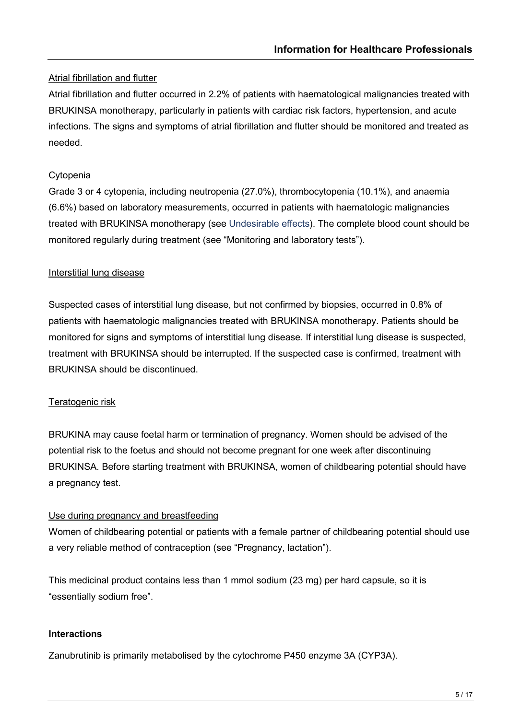# Atrial fibrillation and flutter

Atrial fibrillation and flutter occurred in 2.2% of patients with haematological malignancies treated with BRUKINSA monotherapy, particularly in patients with cardiac risk factors, hypertension, and acute infections. The signs and symptoms of atrial fibrillation and flutter should be monitored and treated as needed.

# Cytopenia

Grade 3 or 4 cytopenia, including neutropenia (27.0%), thrombocytopenia (10.1%), and anaemia (6.6%) based on laboratory measurements, occurred in patients with haematologic malignancies treated with BRUKINSA monotherapy (see Undesirable effects). The complete blood count should be monitored regularly during treatment (see "Monitoring and laboratory tests").

# Interstitial lung disease

Suspected cases of interstitial lung disease, but not confirmed by biopsies, occurred in 0.8% of patients with haematologic malignancies treated with BRUKINSA monotherapy. Patients should be monitored for signs and symptoms of interstitial lung disease. If interstitial lung disease is suspected, treatment with BRUKINSA should be interrupted. If the suspected case is confirmed, treatment with BRUKINSA should be discontinued.

# Teratogenic risk

BRUKINA may cause foetal harm or termination of pregnancy. Women should be advised of the potential risk to the foetus and should not become pregnant for one week after discontinuing BRUKINSA. Before starting treatment with BRUKINSA, women of childbearing potential should have a pregnancy test.

# Use during pregnancy and breastfeeding

Women of childbearing potential or patients with a female partner of childbearing potential should use a very reliable method of contraception (see "Pregnancy, lactation").

This medicinal product contains less than 1 mmol sodium (23 mg) per hard capsule, so it is "essentially sodium free".

# **Interactions**

Zanubrutinib is primarily metabolised by the cytochrome P450 enzyme 3A (CYP3A).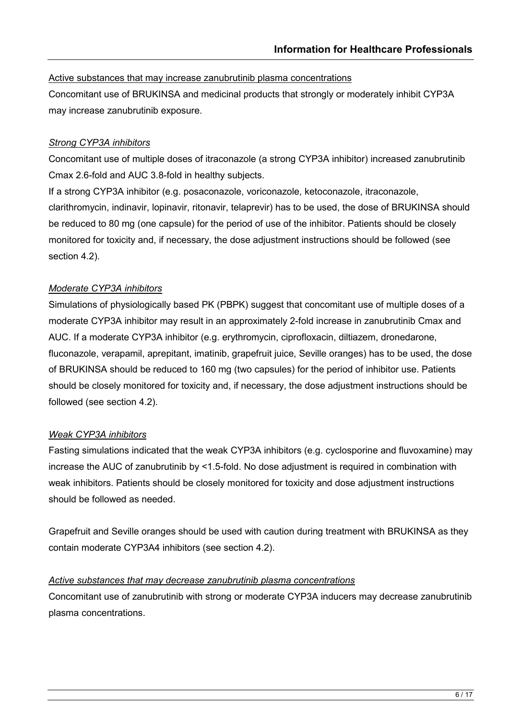#### Active substances that may increase zanubrutinib plasma concentrations

Concomitant use of BRUKINSA and medicinal products that strongly or moderately inhibit CYP3A may increase zanubrutinib exposure.

#### *Strong CYP3A inhibitors*

Concomitant use of multiple doses of itraconazole (a strong CYP3A inhibitor) increased zanubrutinib Cmax 2.6-fold and AUC 3.8-fold in healthy subjects.

If a strong CYP3A inhibitor (e.g. posaconazole, voriconazole, ketoconazole, itraconazole, clarithromycin, indinavir, lopinavir, ritonavir, telaprevir) has to be used, the dose of BRUKINSA should be reduced to 80 mg (one capsule) for the period of use of the inhibitor. Patients should be closely monitored for toxicity and, if necessary, the dose adjustment instructions should be followed (see section 4.2).

## *Moderate CYP3A inhibitors*

Simulations of physiologically based PK (PBPK) suggest that concomitant use of multiple doses of a moderate CYP3A inhibitor may result in an approximately 2-fold increase in zanubrutinib Cmax and AUC. If a moderate CYP3A inhibitor (e.g. erythromycin, ciprofloxacin, diltiazem, dronedarone, fluconazole, verapamil, aprepitant, imatinib, grapefruit juice, Seville oranges) has to be used, the dose of BRUKINSA should be reduced to 160 mg (two capsules) for the period of inhibitor use. Patients should be closely monitored for toxicity and, if necessary, the dose adjustment instructions should be followed (see section 4.2).

#### *Weak CYP3A inhibitors*

Fasting simulations indicated that the weak CYP3A inhibitors (e.g. cyclosporine and fluvoxamine) may increase the AUC of zanubrutinib by <1.5-fold. No dose adjustment is required in combination with weak inhibitors. Patients should be closely monitored for toxicity and dose adjustment instructions should be followed as needed.

Grapefruit and Seville oranges should be used with caution during treatment with BRUKINSA as they contain moderate CYP3A4 inhibitors (see section 4.2).

#### *Active substances that may decrease zanubrutinib plasma concentrations*

Concomitant use of zanubrutinib with strong or moderate CYP3A inducers may decrease zanubrutinib plasma concentrations.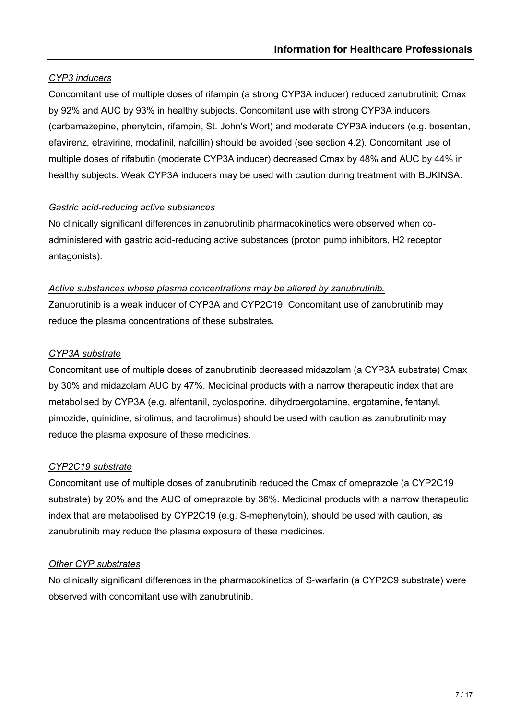# *CYP3 inducers*

Concomitant use of multiple doses of rifampin (a strong CYP3A inducer) reduced zanubrutinib Cmax by 92% and AUC by 93% in healthy subjects. Concomitant use with strong CYP3A inducers (carbamazepine, phenytoin, rifampin, St. John's Wort) and moderate CYP3A inducers (e.g. bosentan, efavirenz, etravirine, modafinil, nafcillin) should be avoided (see section 4.2). Concomitant use of multiple doses of rifabutin (moderate CYP3A inducer) decreased Cmax by 48% and AUC by 44% in healthy subjects. Weak CYP3A inducers may be used with caution during treatment with BUKINSA.

# *Gastric acid-reducing active substances*

No clinically significant differences in zanubrutinib pharmacokinetics were observed when coadministered with gastric acid-reducing active substances (proton pump inhibitors, H2 receptor antagonists).

## *Active substances whose plasma concentrations may be altered by zanubrutinib.*

Zanubrutinib is a weak inducer of CYP3A and CYP2C19. Concomitant use of zanubrutinib may reduce the plasma concentrations of these substrates.

## *CYP3A substrate*

Concomitant use of multiple doses of zanubrutinib decreased midazolam (a CYP3A substrate) Cmax by 30% and midazolam AUC by 47%. Medicinal products with a narrow therapeutic index that are metabolised by CYP3A (e.g. alfentanil, cyclosporine, dihydroergotamine, ergotamine, fentanyl, pimozide, quinidine, sirolimus, and tacrolimus) should be used with caution as zanubrutinib may reduce the plasma exposure of these medicines.

# *CYP2C19 substrate*

Concomitant use of multiple doses of zanubrutinib reduced the Cmax of omeprazole (a CYP2C19 substrate) by 20% and the AUC of omeprazole by 36%. Medicinal products with a narrow therapeutic index that are metabolised by CYP2C19 (e.g. S-mephenytoin), should be used with caution, as zanubrutinib may reduce the plasma exposure of these medicines.

# *Other CYP substrates*

No clinically significant differences in the pharmacokinetics of S‐warfarin (a CYP2C9 substrate) were observed with concomitant use with zanubrutinib.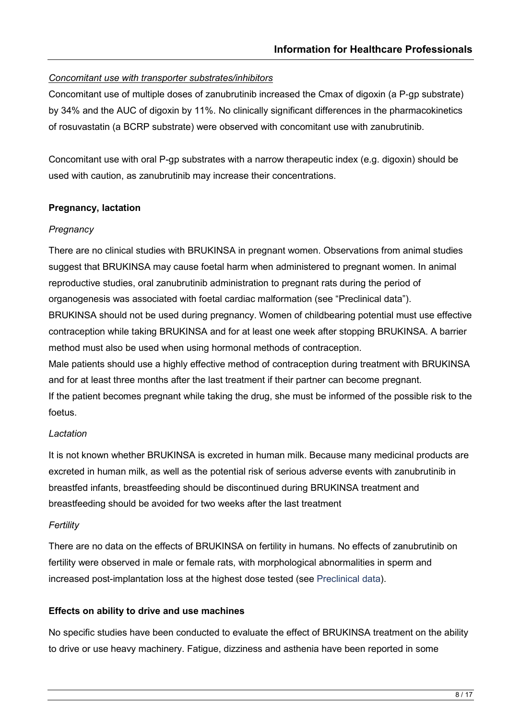# *Concomitant use with transporter substrates/inhibitors*

Concomitant use of multiple doses of zanubrutinib increased the Cmax of digoxin (a P‐gp substrate) by 34% and the AUC of digoxin by 11%. No clinically significant differences in the pharmacokinetics of rosuvastatin (a BCRP substrate) were observed with concomitant use with zanubrutinib.

Concomitant use with oral P-gp substrates with a narrow therapeutic index (e.g. digoxin) should be used with caution, as zanubrutinib may increase their concentrations.

#### **Pregnancy, lactation**

#### *Pregnancy*

There are no clinical studies with BRUKINSA in pregnant women. Observations from animal studies suggest that BRUKINSA may cause foetal harm when administered to pregnant women. In animal reproductive studies, oral zanubrutinib administration to pregnant rats during the period of organogenesis was associated with foetal cardiac malformation (see "Preclinical data"). BRUKINSA should not be used during pregnancy. Women of childbearing potential must use effective contraception while taking BRUKINSA and for at least one week after stopping BRUKINSA. A barrier method must also be used when using hormonal methods of contraception. Male patients should use a highly effective method of contraception during treatment with BRUKINSA

and for at least three months after the last treatment if their partner can become pregnant. If the patient becomes pregnant while taking the drug, she must be informed of the possible risk to the foetus.

#### *Lactation*

It is not known whether BRUKINSA is excreted in human milk. Because many medicinal products are excreted in human milk, as well as the potential risk of serious adverse events with zanubrutinib in breastfed infants, breastfeeding should be discontinued during BRUKINSA treatment and breastfeeding should be avoided for two weeks after the last treatment

#### *Fertility*

There are no data on the effects of BRUKINSA on fertility in humans. No effects of zanubrutinib on fertility were observed in male or female rats, with morphological abnormalities in sperm and increased post-implantation loss at the highest dose tested (see Preclinical data).

#### **Effects on ability to drive and use machines**

No specific studies have been conducted to evaluate the effect of BRUKINSA treatment on the ability to drive or use heavy machinery. Fatigue, dizziness and asthenia have been reported in some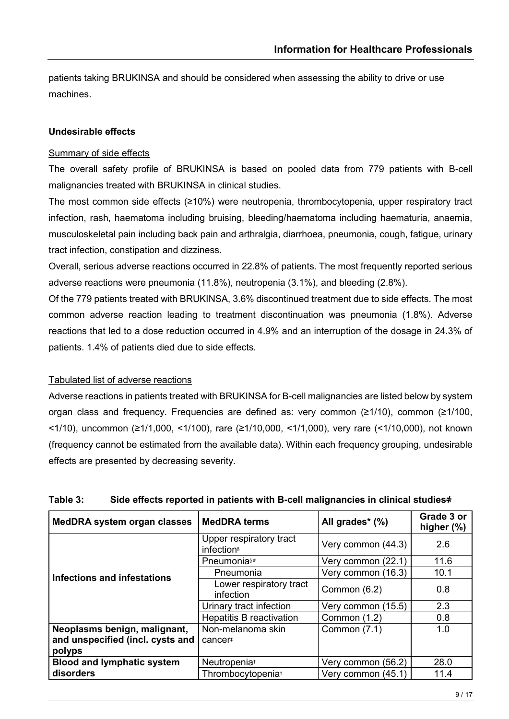patients taking BRUKINSA and should be considered when assessing the ability to drive or use machines.

#### **Undesirable effects**

#### Summary of side effects

The overall safety profile of BRUKINSA is based on pooled data from 779 patients with B-cell malignancies treated with BRUKINSA in clinical studies.

The most common side effects (≥10%) were neutropenia, thrombocytopenia, upper respiratory tract infection, rash, haematoma including bruising, bleeding/haematoma including haematuria, anaemia, musculoskeletal pain including back pain and arthralgia, diarrhoea, pneumonia, cough, fatigue, urinary tract infection, constipation and dizziness.

Overall, serious adverse reactions occurred in 22.8% of patients. The most frequently reported serious adverse reactions were pneumonia (11.8%), neutropenia (3.1%), and bleeding (2.8%).

Of the 779 patients treated with BRUKINSA, 3.6% discontinued treatment due to side effects. The most common adverse reaction leading to treatment discontinuation was pneumonia (1.8%). Adverse reactions that led to a dose reduction occurred in 4.9% and an interruption of the dosage in 24.3% of patients. 1.4% of patients died due to side effects.

#### Tabulated list of adverse reactions

Adverse reactions in patients treated with BRUKINSA for B-cell malignancies are listed below by system organ class and frequency. Frequencies are defined as: very common (≥1/10), common (≥1/100, <1/10), uncommon (≥1/1,000, <1/100), rare (≥1/10,000, <1/1,000), very rare (<1/10,000), not known (frequency cannot be estimated from the available data). Within each frequency grouping, undesirable effects are presented by decreasing severity.

| <b>MedDRA system organ classes</b>                                         | <b>MedDRA</b> terms                  | All grades* (%)    | Grade 3 or<br>higher (%) |
|----------------------------------------------------------------------------|--------------------------------------|--------------------|--------------------------|
|                                                                            | Upper respiratory tract<br>infection | Very common (44.3) | 2.6                      |
|                                                                            | Pneumonia <sup>s#</sup>              | Very common (22.1) | 11.6                     |
| Infections and infestations                                                | Pneumonia                            | Very common (16.3) |                          |
|                                                                            | Lower respiratory tract<br>infection | Common (6.2)       | 0.8                      |
|                                                                            | Urinary tract infection              | Very common (15.5) | 2.3                      |
|                                                                            | <b>Hepatitis B reactivation</b>      | Common (1.2)       | 0.8                      |
| Neoplasms benign, malignant,<br>and unspecified (incl. cysts and<br>polyps | Non-melanoma skin<br>cancer#         | Common (7.1)       | 1.0                      |
| <b>Blood and lymphatic system</b>                                          | Neutropenia <sup>+</sup>             | Very common (56.2) | 28.0                     |
| disorders                                                                  | Thrombocytopenia <sup>+</sup>        | Very common (45.1) | 11.4                     |

#### **Table 3: Side effects reported in patients with B-cell malignancies in clinical studies҂**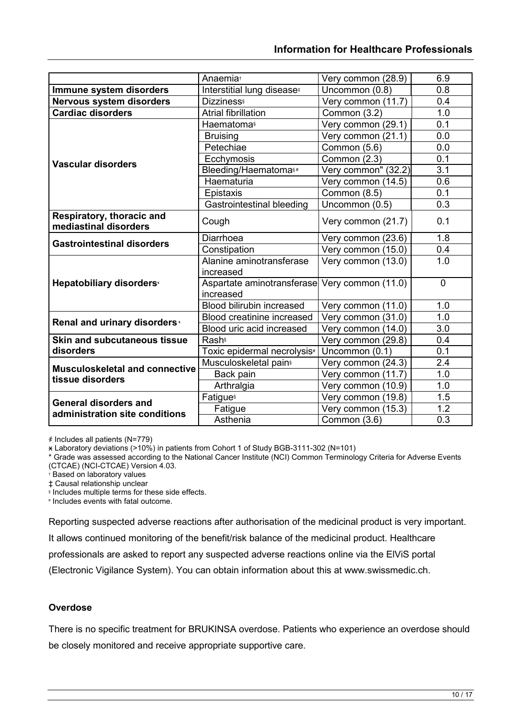|                                                    | Anaemia <sup>+</sup>                          | Very common (28.9)  | 6.9            |
|----------------------------------------------------|-----------------------------------------------|---------------------|----------------|
| Immune system disorders                            | Interstitial lung disease <sup>#</sup>        | Uncommon (0.8)      | 0.8            |
| <b>Nervous system disorders</b>                    | <b>Dizziness</b>                              | Very common (11.7)  | 0.4            |
| <b>Cardiac disorders</b>                           | <b>Atrial fibrillation</b>                    | Common (3.2)        | 1.0            |
|                                                    | <b>Haematomas</b>                             | Very common (29.1)  | 0.1            |
|                                                    | <b>Bruising</b>                               | Very common (21.1)  | 0.0            |
|                                                    | Petechiae                                     | Common (5.6)        | 0.0            |
|                                                    | Ecchymosis                                    | Common (2.3)        | 0.1            |
| <b>Vascular disorders</b>                          | Bleeding/Haematomas#                          | Very common" (32.2) | 3.1            |
|                                                    | Haematuria                                    | Very common (14.5)  | 0.6            |
|                                                    | Epistaxis                                     | Common (8.5)        | 0.1            |
|                                                    | Gastrointestinal bleeding                     | Uncommon (0.5)      | 0.3            |
| Respiratory, thoracic and<br>mediastinal disorders | Cough                                         | Very common (21.7)  | 0.1            |
|                                                    | Diarrhoea                                     | Very common (23.6)  | 1.8            |
| <b>Gastrointestinal disorders</b>                  | Constipation                                  | Very common (15.0)  | 0.4            |
|                                                    | Alanine aminotransferase                      | Very common (13.0)  | 1.0            |
|                                                    | increased                                     |                     |                |
| Hepatobiliary disorders <sup>x</sup>               | Aspartate aminotransferase Very common (11.0) |                     | $\overline{0}$ |
|                                                    | increased                                     |                     |                |
|                                                    | <b>Blood bilirubin increased</b>              | Very common (11.0)  | 1.0            |
| Renal and urinary disorders <sup>x</sup>           | <b>Blood creatinine increased</b>             | Very common (31.0)  | 1.0            |
|                                                    | Blood uric acid increased                     | Very common (14.0)  | 3.0            |
| <b>Skin and subcutaneous tissue</b>                | <b>Rash</b>                                   | Very common (29.8)  | 0.4            |
| disorders                                          | Toxic epidermal necrolysis <sup>#</sup>       | Uncommon (0.1)      | 0.1            |
| <b>Musculoskeletal and connective</b>              | Musculoskeletal pain <sup>s</sup>             | Very common (24.3)  | 2.4            |
| tissue disorders                                   | Back pain                                     | Very common (11.7)  | 1.0            |
|                                                    | Arthralgia                                    | Very common (10.9)  | 1.0            |
| <b>General disorders and</b>                       | <b>Fatigue</b> s                              | Very common (19.8)  | 1.5            |
| administration site conditions                     | Fatigue                                       | Very common (15.3)  | 1.2            |
|                                                    | Asthenia                                      | Common (3.6)        | 0.3            |

҂ Includes all patients (N=779)

ӿ Laboratory deviations (>10%) in patients from Cohort 1 of Study BGB-3111-302 (N=101)

\* Grade was assessed according to the National Cancer Institute (NCI) Common Terminology Criteria for Adverse Events (CTCAE) (NCI-CTCAE) Version 4.03.

† Based on laboratory values

‡ Causal relationship unclear

§ Includes multiple terms for these side effects.

# Includes events with fatal outcome.

Reporting suspected adverse reactions after authorisation of the medicinal product is very important.

It allows continued monitoring of the benefit/risk balance of the medicinal product. Healthcare

professionals are asked to report any suspected adverse reactions online via the ElViS portal

(Electronic Vigilance System). You can obtain information about this at www.swissmedic.ch.

#### **Overdose**

There is no specific treatment for BRUKINSA overdose. Patients who experience an overdose should be closely monitored and receive appropriate supportive care.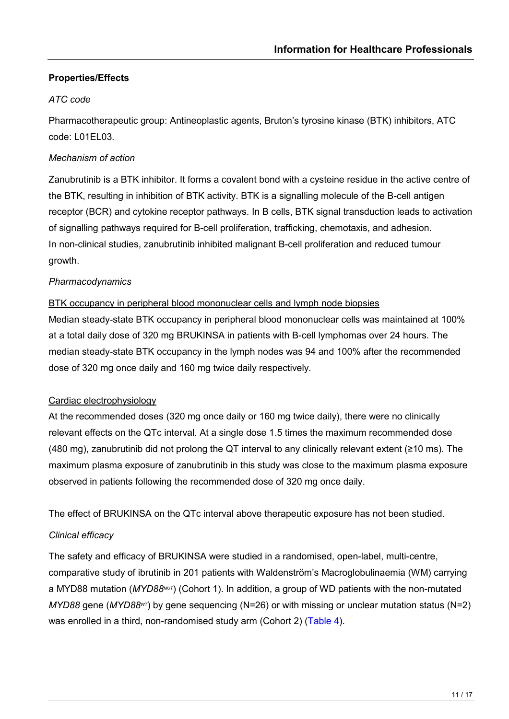## **Properties/Effects**

#### *ATC code*

Pharmacotherapeutic group: Antineoplastic agents, Bruton's tyrosine kinase (BTK) inhibitors, ATC code: L01EL03.

#### *Mechanism of action*

Zanubrutinib is a BTK inhibitor. It forms a covalent bond with a cysteine residue in the active centre of the BTK, resulting in inhibition of BTK activity. BTK is a signalling molecule of the B-cell antigen receptor (BCR) and cytokine receptor pathways. In B cells, BTK signal transduction leads to activation of signalling pathways required for B-cell proliferation, trafficking, chemotaxis, and adhesion. In non-clinical studies, zanubrutinib inhibited malignant B-cell proliferation and reduced tumour growth.

#### *Pharmacodynamics*

#### BTK occupancy in peripheral blood mononuclear cells and lymph node biopsies

Median steady-state BTK occupancy in peripheral blood mononuclear cells was maintained at 100% at a total daily dose of 320 mg BRUKINSA in patients with B-cell lymphomas over 24 hours. The median steady-state BTK occupancy in the lymph nodes was 94 and 100% after the recommended dose of 320 mg once daily and 160 mg twice daily respectively.

#### Cardiac electrophysiology

At the recommended doses (320 mg once daily or 160 mg twice daily), there were no clinically relevant effects on the QTc interval. At a single dose 1.5 times the maximum recommended dose (480 mg), zanubrutinib did not prolong the QT interval to any clinically relevant extent (≥10 ms). The maximum plasma exposure of zanubrutinib in this study was close to the maximum plasma exposure observed in patients following the recommended dose of 320 mg once daily.

The effect of BRUKINSA on the QTc interval above therapeutic exposure has not been studied.

# *Clinical efficacy*

The safety and efficacy of BRUKINSA were studied in a randomised, open-label, multi-centre, comparative study of ibrutinib in 201 patients with Waldenström's Macroglobulinaemia (WM) carrying a MYD88 mutation (MYD88MUT) (Cohort 1). In addition, a group of WD patients with the non-mutated *MYD88* gene (*MYD88WT*) by gene sequencing (N=26) or with missing or unclear mutation status (N=2) was enrolled in a third, non-randomised study arm (Cohort 2) [\(Table 4\)](#page-22-0).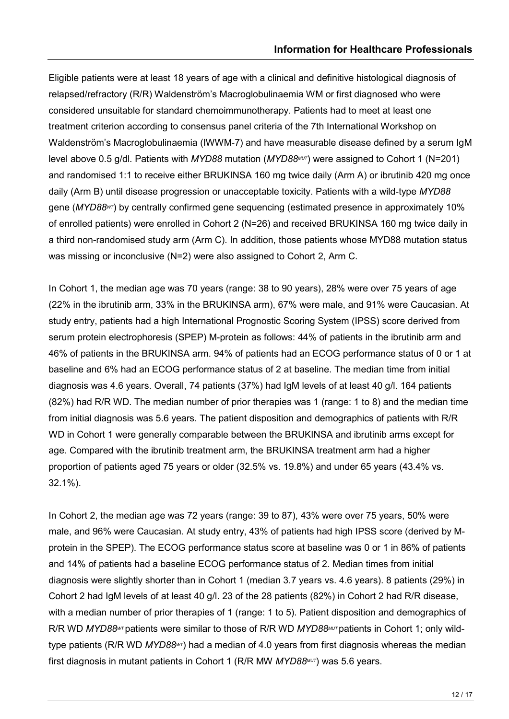Eligible patients were at least 18 years of age with a clinical and definitive histological diagnosis of relapsed/refractory (R/R) Waldenström's Macroglobulinaemia WM or first diagnosed who were considered unsuitable for standard chemoimmunotherapy. Patients had to meet at least one treatment criterion according to consensus panel criteria of the 7th International Workshop on Waldenström's Macroglobulinaemia (IWWM-7) and have measurable disease defined by a serum IgM level above 0.5 g/dl. Patients with *MYD88* mutation (*MYD88MUT*) were assigned to Cohort 1 (N=201) and randomised 1:1 to receive either BRUKINSA 160 mg twice daily (Arm A) or ibrutinib 420 mg once daily (Arm B) until disease progression or unacceptable toxicity. Patients with a wild-type *MYD88*  gene (MYD88<sup>wT</sup>) by centrally confirmed gene sequencing (estimated presence in approximately 10% of enrolled patients) were enrolled in Cohort 2 (N=26) and received BRUKINSA 160 mg twice daily in a third non-randomised study arm (Arm C). In addition, those patients whose MYD88 mutation status was missing or inconclusive (N=2) were also assigned to Cohort 2, Arm C.

In Cohort 1, the median age was 70 years (range: 38 to 90 years), 28% were over 75 years of age (22% in the ibrutinib arm, 33% in the BRUKINSA arm), 67% were male, and 91% were Caucasian. At study entry, patients had a high International Prognostic Scoring System (IPSS) score derived from serum protein electrophoresis (SPEP) M-protein as follows: 44% of patients in the ibrutinib arm and 46% of patients in the BRUKINSA arm. 94% of patients had an ECOG performance status of 0 or 1 at baseline and 6% had an ECOG performance status of 2 at baseline. The median time from initial diagnosis was 4.6 years. Overall, 74 patients (37%) had IgM levels of at least 40 g/l. 164 patients (82%) had R/R WD. The median number of prior therapies was 1 (range: 1 to 8) and the median time from initial diagnosis was 5.6 years. The patient disposition and demographics of patients with R/R WD in Cohort 1 were generally comparable between the BRUKINSA and ibrutinib arms except for age. Compared with the ibrutinib treatment arm, the BRUKINSA treatment arm had a higher proportion of patients aged 75 years or older (32.5% vs. 19.8%) and under 65 years (43.4% vs. 32.1%).

In Cohort 2, the median age was 72 years (range: 39 to 87), 43% were over 75 years, 50% were male, and 96% were Caucasian. At study entry, 43% of patients had high IPSS score (derived by Mprotein in the SPEP). The ECOG performance status score at baseline was 0 or 1 in 86% of patients and 14% of patients had a baseline ECOG performance status of 2. Median times from initial diagnosis were slightly shorter than in Cohort 1 (median 3.7 years vs. 4.6 years). 8 patients (29%) in Cohort 2 had IgM levels of at least 40 g/l. 23 of the 28 patients (82%) in Cohort 2 had R/R disease, with a median number of prior therapies of 1 (range: 1 to 5). Patient disposition and demographics of R/R WD *MYD88<sup>wT</sup>* patients were similar to those of R/R WD *MYD88<sup>MUT</sup>* patients in Cohort 1; only wildtype patients (R/R WD *MYD88WT*) had a median of 4.0 years from first diagnosis whereas the median first diagnosis in mutant patients in Cohort 1 (R/R MW *MYD88MUT*) was 5.6 years.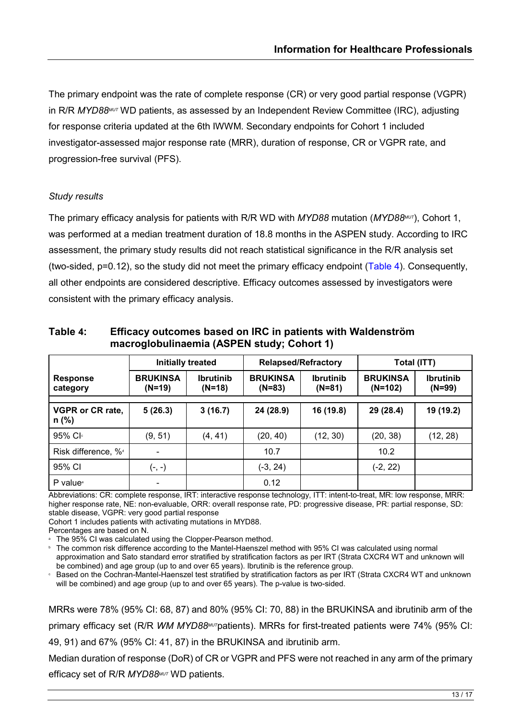The primary endpoint was the rate of complete response (CR) or very good partial response (VGPR) in R/R *MYD88MUT* WD patients, as assessed by an Independent Review Committee (IRC), adjusting for response criteria updated at the 6th IWWM. Secondary endpoints for Cohort 1 included investigator-assessed major response rate (MRR), duration of response, CR or VGPR rate, and progression-free survival (PFS).

#### *Study results*

The primary efficacy analysis for patients with R/R WD with *MYD88* mutation (*MYD88<sup>MUT</sup>*), Cohort 1, was performed at a median treatment duration of 18.8 months in the ASPEN study. According to IRC assessment, the primary study results did not reach statistical significance in the R/R analysis set (two-sided, p=0.12), so the study did not meet the primary efficacy endpoint [\(Table 4\)](#page-22-0). Consequently, all other endpoints are considered descriptive. Efficacy outcomes assessed by investigators were consistent with the primary efficacy analysis.

| <b>Initially treated</b>           |                             |                              | <b>Relapsed/Refractory</b>  |                              | Total (ITT)                  |                              |
|------------------------------------|-----------------------------|------------------------------|-----------------------------|------------------------------|------------------------------|------------------------------|
| <b>Response</b><br>category        | <b>BRUKINSA</b><br>$(N=19)$ | <b>Ibrutinib</b><br>$(N=18)$ | <b>BRUKINSA</b><br>$(N=83)$ | <b>Ibrutinib</b><br>$(N=81)$ | <b>BRUKINSA</b><br>$(N=102)$ | <b>Ibrutinib</b><br>$(N=99)$ |
|                                    |                             |                              |                             |                              |                              |                              |
| <b>VGPR or CR rate,</b><br>$n$ (%) | 5(26.3)                     | 3(16.7)                      | 24 (28.9)                   | 16 (19.8)                    | 29 (28.4)                    | 19 (19.2)                    |
| 95% Cl                             | (9, 51)                     | (4, 41)                      | (20, 40)                    | (12, 30)                     | (20, 38)                     | (12, 28)                     |
| Risk difference, % <sup>d</sup>    | $\blacksquare$              |                              | 10.7                        |                              | 10.2                         |                              |
| 95% CI                             | $(-, -)$                    |                              | (-3, 24)                    |                              | $(-2, 22)$                   |                              |
| P value <sup>®</sup>               | -                           |                              | 0.12                        |                              |                              |                              |

<span id="page-22-0"></span>**Table 4: Efficacy outcomes based on IRC in patients with Waldenström macroglobulinaemia (ASPEN study; Cohort 1)**

Abbreviations: CR: complete response, IRT: interactive response technology, ITT: intent-to-treat, MR: low response, MRR: higher response rate, NE: non-evaluable, ORR: overall response rate, PD: progressive disease, PR: partial response, SD: stable disease, VGPR: very good partial response

Cohort 1 includes patients with activating mutations in MYD88.

Percentages are based on N.

The 95% CI was calculated using the Clopper-Pearson method.

**• The common risk difference according to the Mantel-Haenszel method with 95% CI was calculated using normal** approximation and Sato standard error stratified by stratification factors as per IRT (Strata CXCR4 WT and unknown will be combined) and age group (up to and over 65 years). Ibrutinib is the reference group.

**Example 2** on the Cochran-Mantel-Haenszel test stratified by stratification factors as per IRT (Strata CXCR4 WT and unknown will be combined) and age group (up to and over 65 years). The p-value is two-sided.

MRRs were 78% (95% CI: 68, 87) and 80% (95% CI: 70, 88) in the BRUKINSA and ibrutinib arm of the primary efficacy set (R/R *WM MYD88MUT*patients). MRRs for first-treated patients were 74% (95% CI: 49, 91) and 67% (95% CI: 41, 87) in the BRUKINSA and ibrutinib arm.

Median duration of response (DoR) of CR or VGPR and PFS were not reached in any arm of the primary efficacy set of R/R *MYD88MUT* WD patients.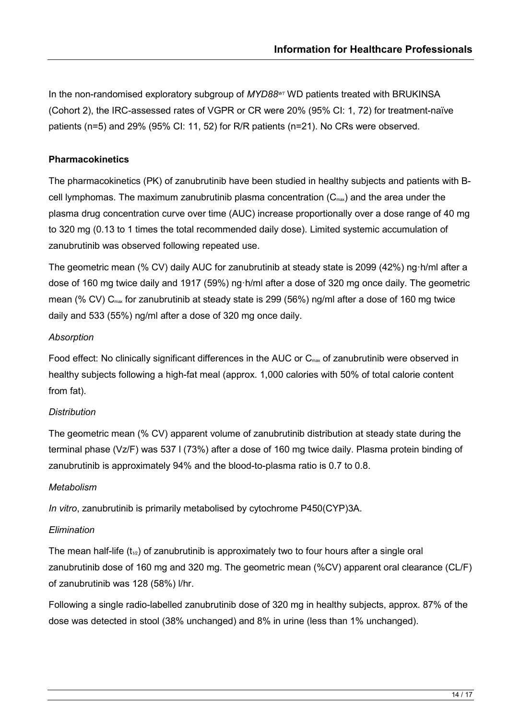In the non-randomised exploratory subgroup of *MYD88wT* WD patients treated with BRUKINSA (Cohort 2), the IRC-assessed rates of VGPR or CR were 20% (95% CI: 1, 72) for treatment-naïve patients (n=5) and 29% (95% CI: 11, 52) for R/R patients (n=21). No CRs were observed.

#### **Pharmacokinetics**

The pharmacokinetics (PK) of zanubrutinib have been studied in healthy subjects and patients with Bcell lymphomas. The maximum zanubrutinib plasma concentration  $(C_{\text{max}})$  and the area under the plasma drug concentration curve over time (AUC) increase proportionally over a dose range of 40 mg to 320 mg (0.13 to 1 times the total recommended daily dose). Limited systemic accumulation of zanubrutinib was observed following repeated use.

The geometric mean (% CV) daily AUC for zanubrutinib at steady state is 2099 (42%) ng·h/ml after a dose of 160 mg twice daily and 1917 (59%) ng·h/ml after a dose of 320 mg once daily. The geometric mean (% CV)  $C_{\text{max}}$  for zanubrutinib at steady state is 299 (56%) ng/ml after a dose of 160 mg twice daily and 533 (55%) ng/ml after a dose of 320 mg once daily.

#### *Absorption*

Food effect: No clinically significant differences in the AUC or C<sub>max</sub> of zanubrutinib were observed in healthy subjects following a high-fat meal (approx. 1,000 calories with 50% of total calorie content from fat).

#### *Distribution*

The geometric mean (% CV) apparent volume of zanubrutinib distribution at steady state during the terminal phase (Vz/F) was 537 l (73%) after a dose of 160 mg twice daily. Plasma protein binding of zanubrutinib is approximately 94% and the blood-to-plasma ratio is 0.7 to 0.8.

#### *Metabolism*

*In vitro*, zanubrutinib is primarily metabolised by cytochrome P450(CYP)3A.

# *Elimination*

The mean half-life  $(t_{1/2})$  of zanubrutinib is approximately two to four hours after a single oral zanubrutinib dose of 160 mg and 320 mg. The geometric mean (%CV) apparent oral clearance (CL/F) of zanubrutinib was 128 (58%) l/hr.

Following a single radio-labelled zanubrutinib dose of 320 mg in healthy subjects, approx. 87% of the dose was detected in stool (38% unchanged) and 8% in urine (less than 1% unchanged).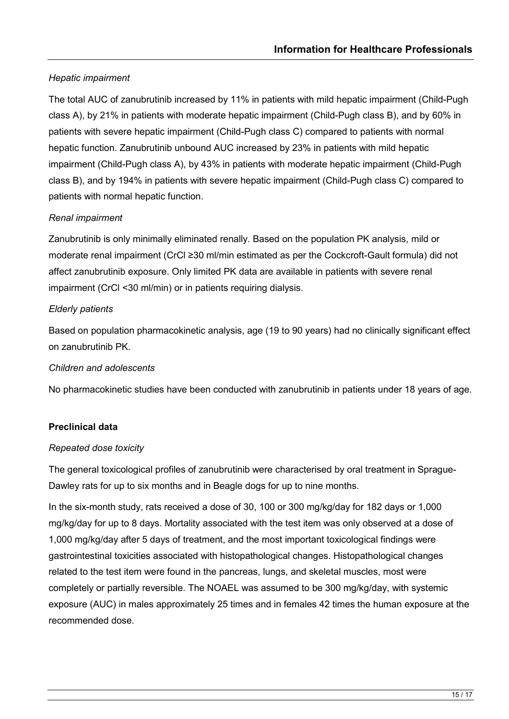## *Hepatic impairment*

The total AUC of zanubrutinib increased by 11% in patients with mild hepatic impairment (Child-Pugh class A), by 21% in patients with moderate hepatic impairment (Child-Pugh class B), and by 60% in patients with severe hepatic impairment (Child-Pugh class C) compared to patients with normal hepatic function. Zanubrutinib unbound AUC increased by 23% in patients with mild hepatic impairment (Child-Pugh class A), by 43% in patients with moderate hepatic impairment (Child-Pugh class B), and by 194% in patients with severe hepatic impairment (Child-Pugh class C) compared to patients with normal hepatic function.

#### *Renal impairment*

Zanubrutinib is only minimally eliminated renally. Based on the population PK analysis, mild or moderate renal impairment (CrCl ≥30 ml/min estimated as per the Cockcroft-Gault formula) did not affect zanubrutinib exposure. Only limited PK data are available in patients with severe renal impairment (CrCl <30 ml/min) or in patients requiring dialysis.

#### *Elderly patients*

Based on population pharmacokinetic analysis, age (19 to 90 years) had no clinically significant effect on zanubrutinib PK.

#### *Children and adolescents*

No pharmacokinetic studies have been conducted with zanubrutinib in patients under 18 years of age.

#### **Preclinical data**

#### *Repeated dose toxicity*

The general toxicological profiles of zanubrutinib were characterised by oral treatment in Sprague-Dawley rats for up to six months and in Beagle dogs for up to nine months.

In the six-month study, rats received a dose of 30, 100 or 300 mg/kg/day for 182 days or 1,000 mg/kg/day for up to 8 days. Mortality associated with the test item was only observed at a dose of 1,000 mg/kg/day after 5 days of treatment, and the most important toxicological findings were gastrointestinal toxicities associated with histopathological changes. Histopathological changes related to the test item were found in the pancreas, lungs, and skeletal muscles, most were completely or partially reversible. The NOAEL was assumed to be 300 mg/kg/day, with systemic exposure (AUC) in males approximately 25 times and in females 42 times the human exposure at the recommended dose.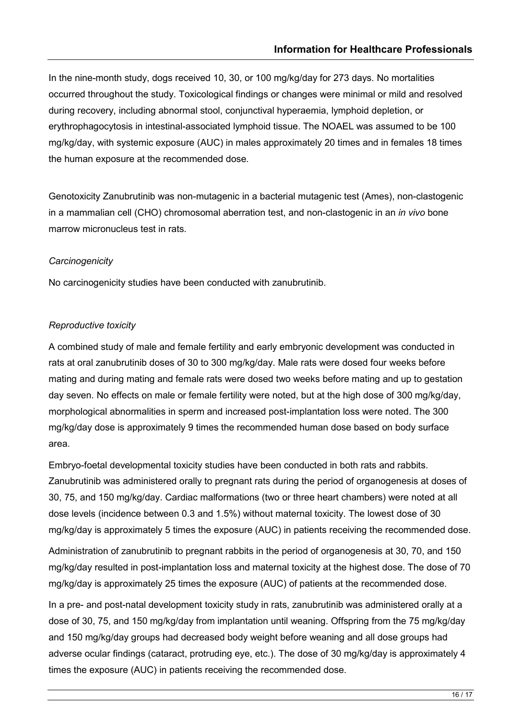In the nine-month study, dogs received 10, 30, or 100 mg/kg/day for 273 days. No mortalities occurred throughout the study. Toxicological findings or changes were minimal or mild and resolved during recovery, including abnormal stool, conjunctival hyperaemia, lymphoid depletion, or erythrophagocytosis in intestinal-associated lymphoid tissue. The NOAEL was assumed to be 100 mg/kg/day, with systemic exposure (AUC) in males approximately 20 times and in females 18 times the human exposure at the recommended dose.

Genotoxicity Zanubrutinib was non-mutagenic in a bacterial mutagenic test (Ames), non-clastogenic in a mammalian cell (CHO) chromosomal aberration test, and non-clastogenic in an *in vivo* bone marrow micronucleus test in rats.

#### *Carcinogenicity*

No carcinogenicity studies have been conducted with zanubrutinib.

#### *Reproductive toxicity*

A combined study of male and female fertility and early embryonic development was conducted in rats at oral zanubrutinib doses of 30 to 300 mg/kg/day. Male rats were dosed four weeks before mating and during mating and female rats were dosed two weeks before mating and up to gestation day seven. No effects on male or female fertility were noted, but at the high dose of 300 mg/kg/day, morphological abnormalities in sperm and increased post-implantation loss were noted. The 300 mg/kg/day dose is approximately 9 times the recommended human dose based on body surface area.

Embryo-foetal developmental toxicity studies have been conducted in both rats and rabbits. Zanubrutinib was administered orally to pregnant rats during the period of organogenesis at doses of 30, 75, and 150 mg/kg/day. Cardiac malformations (two or three heart chambers) were noted at all dose levels (incidence between 0.3 and 1.5%) without maternal toxicity. The lowest dose of 30 mg/kg/day is approximately 5 times the exposure (AUC) in patients receiving the recommended dose.

Administration of zanubrutinib to pregnant rabbits in the period of organogenesis at 30, 70, and 150 mg/kg/day resulted in post-implantation loss and maternal toxicity at the highest dose. The dose of 70 mg/kg/day is approximately 25 times the exposure (AUC) of patients at the recommended dose.

In a pre- and post-natal development toxicity study in rats, zanubrutinib was administered orally at a dose of 30, 75, and 150 mg/kg/day from implantation until weaning. Offspring from the 75 mg/kg/day and 150 mg/kg/day groups had decreased body weight before weaning and all dose groups had adverse ocular findings (cataract, protruding eye, etc.). The dose of 30 mg/kg/day is approximately 4 times the exposure (AUC) in patients receiving the recommended dose.